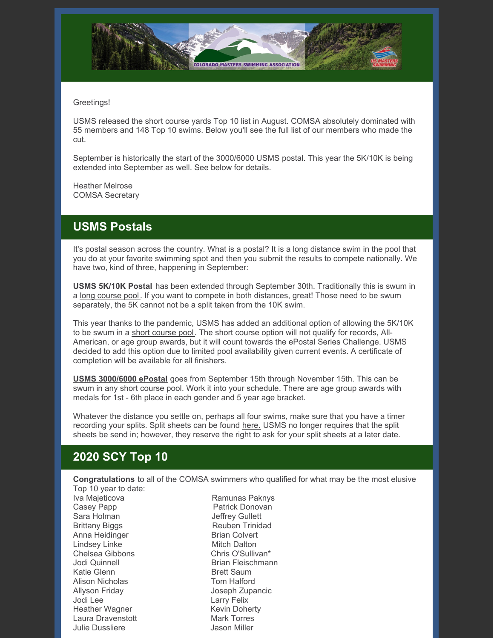

#### Greetings!

USMS released the short course yards Top 10 list in August. COMSA absolutely dominated with 55 members and 148 Top 10 swims. Below you'll see the full list of our members who made the cut.

September is historically the start of the 3000/6000 USMS postal. This year the 5K/10K is being extended into September as well. See below for details.

Heather Melrose COMSA Secretary

#### **USMS Postals**

It's postal season across the country. What is a postal? It is a long distance swim in the pool that you do at your favorite swimming spot and then you submit the results to compete nationally. We have two, kind of three, happening in September:

**USMS 5K/10K Postal** has been extended through September 30th. Traditionally this is swum in a long [course](https://www.clubassistant.com/club/meet_information.cfm?c=1246&smid=13407&_ga=2.251936842.2101556543.1598743566-1041609099.1586124178) pool. If you want to compete in both distances, great! Those need to be swum separately, the 5K cannot not be a split taken from the 10K swim.

This year thanks to the pandemic, USMS has added an additional option of allowing the 5K/10K to be swum in a short [course](https://www.clubassistant.com/club/meet_information.cfm?c=1246&smid=13434&_ga=2.37301859.2101556543.1598743566-1041609099.1586124178) pool. The short course option will not qualify for records, All-American, or age group awards, but it will count towards the ePostal Series Challenge. USMS decided to add this option due to limited pool availability given current events. A certificate of completion will be available for all finishers.

**USMS [3000/6000](https://www.usms.org/events/national-championships/epostal-national-championships/2020-epostal-national-championships) ePostal** goes from September 15th through November 15th. This can be swum in any short course pool. Work it into your schedule. There are age group awards with medals for 1st - 6th place in each gender and 5 year age bracket.

Whatever the distance you settle on, perhaps all four swims, make sure that you have a timer recording your splits. Split sheets can be found [here.](https://www.usms.org/events/national-championships/epostal-national-championships) USMS no longer requires that the split sheets be send in; however, they reserve the right to ask for your split sheets at a later date.

# **2020 SCY Top 10**

**Congratulations** to all of the COMSA swimmers who qualified for what may be the most elusive Top 10 year to date:

Iva Majeticova **Ramunas Paknys** Casey Papp **Patrick Donovan** Sara Holman **Jeffrey Gullett** Brittany Biggs Reuben Trinidad Anna Heidinger Brian Colvert Lindsey Linke Mitch Dalton<br>Chelsea Gibbons Chris O'Sullivan\* Chelsea Gibbons<br>Jodi Quinnell Katie Glenn Brett Saum Alison Nicholas **Tom Halford** Allyson Friday Joseph Zupancic Jodi Lee Larry Felix Heather Wagner **Kevin Doherty** Laura Dravenstott **Mark Torres** Julie Dussliere Jason Miller

Brian Fleischmann